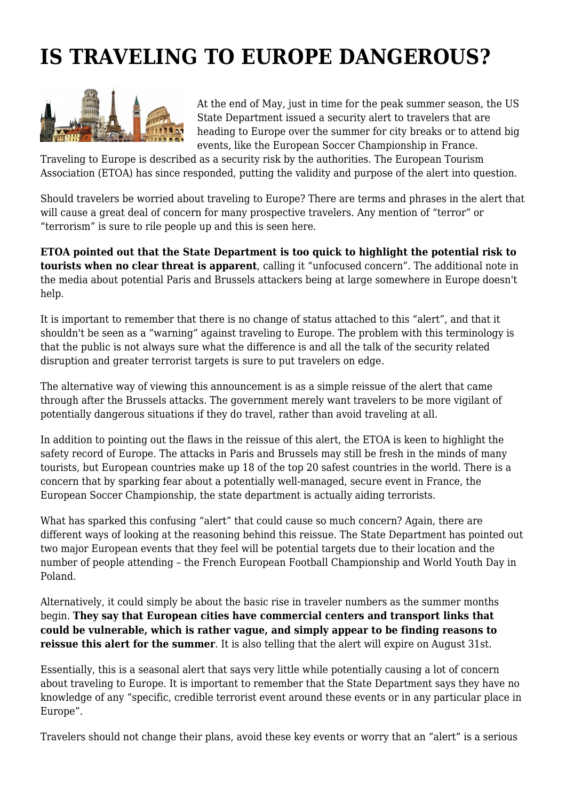## **IS TRAVELING TO EUROPE DANGEROUS?**



At the end of May, just in time for the peak summer season, the US State Department issued a security alert to travelers that are heading to Europe over the summer for city breaks or to attend big events, like the European Soccer Championship in France.

Traveling to Europe is described as a security risk by the authorities. The European Tourism Association (ETOA) has since responded, putting the validity and purpose of the alert into question.

Should travelers be worried about traveling to Europe? There are terms and phrases in the alert that will cause a great deal of concern for many prospective travelers. Any mention of "terror" or "terrorism" is sure to rile people up and this is seen here.

**ETOA pointed out that the State Department is too quick to highlight the potential risk to tourists when no clear threat is apparent**, calling it "unfocused concern". The additional note in the media about potential Paris and Brussels attackers being at large somewhere in Europe doesn't help.

It is important to remember that there is no change of status attached to this "alert", and that it shouldn't be seen as a "warning" against traveling to Europe. The problem with this terminology is that the public is not always sure what the difference is and all the talk of the security related disruption and greater terrorist targets is sure to put travelers on edge.

The alternative way of viewing this announcement is as a simple reissue of the alert that came through after the Brussels attacks. The government merely want travelers to be more vigilant of potentially dangerous situations if they do travel, rather than avoid traveling at all.

In addition to pointing out the flaws in the reissue of this alert, the ETOA is keen to highlight the safety record of Europe. The attacks in Paris and Brussels may still be fresh in the minds of many tourists, but European countries make up 18 of the top 20 safest countries in the world. There is a concern that by sparking fear about a potentially well-managed, secure event in France, the European Soccer Championship, the state department is actually aiding terrorists.

What has sparked this confusing "alert" that could cause so much concern? Again, there are different ways of looking at the reasoning behind this reissue. The State Department has pointed out two major European events that they feel will be potential targets due to their location and the number of people attending – the French European Football Championship and World Youth Day in Poland.

Alternatively, it could simply be about the basic rise in traveler numbers as the summer months begin. **They say that European cities have commercial centers and transport links that could be vulnerable, which is rather vague, and simply appear to be finding reasons to reissue this alert for the summer**. It is also telling that the alert will expire on August 31st.

Essentially, this is a seasonal alert that says very little while potentially causing a lot of concern about traveling to Europe. It is important to remember that the State Department says they have no knowledge of any "specific, credible terrorist event around these events or in any particular place in Europe".

Travelers should not change their plans, avoid these key events or worry that an "alert" is a serious